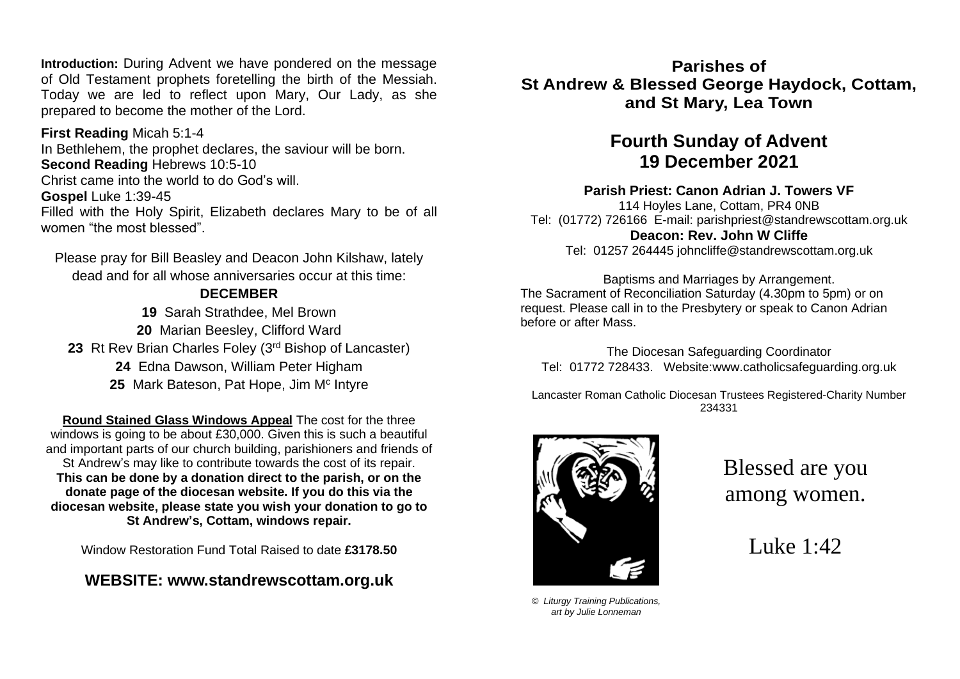**Introduction:** During Advent we have pondered on the message of Old Testament prophets foretelling the birth of the Messiah. Today we are led to reflect upon Mary, Our Lady, as she prepared to become the mother of the Lord.

**First Reading** Micah 5:1-4 In Bethlehem, the prophet declares, the saviour will be born. **Second Reading** Hebrews 10:5-10 Christ came into the world to do God's will. **Gospel** Luke 1:39-45 Filled with the Holy Spirit, Elizabeth declares Mary to be of all women "the most blessed".

Please pray for Bill Beasley and Deacon John Kilshaw, lately dead and for all whose anniversaries occur at this time:

#### **DECEMBER**

**19** Sarah Strathdee, Mel Brown **20** Marian Beesley, Clifford Ward 23 Rt Rev Brian Charles Foley (3<sup>rd</sup> Bishop of Lancaster) **24** Edna Dawson, William Peter Higham 25 Mark Bateson, Pat Hope, Jim M<sup>c</sup> Intyre

**Round Stained Glass Windows Appeal** The cost for the three windows is going to be about £30,000. Given this is such a beautiful and important parts of our church building, parishioners and friends of St Andrew's may like to contribute towards the cost of its repair. **This can be done by a donation direct to the parish, or on the donate page of the diocesan website. If you do this via the diocesan website, please state you wish your donation to go to St Andrew's, Cottam, windows repair.**

Window Restoration Fund Total Raised to date **£3178.50**

## **WEBSITE: [www.standrewscottam.org.uk](http://www.standrewscottam.org.uk/)**

**Parishes of St Andrew & Blessed George Haydock, Cottam, and St Mary, Lea Town**

# **Fourth Sunday of Advent 19 December 2021**

#### **Parish Priest: Canon Adrian J. Towers VF**

114 Hoyles Lane, Cottam, PR4 0NB Tel: (01772) 726166 E-mail: [parishpriest@standrewscottam.org.uk](mailto:parishpriest@standrewscottam.org.uk) **Deacon: Rev. John W Cliffe**  Tel: 01257 264445 [johncliffe@standrewscottam.org.uk](mailto:johncliffe@standrewscottam.org.uk)

Baptisms and Marriages by Arrangement. The Sacrament of Reconciliation Saturday (4.30pm to 5pm) or on request. Please call in to the Presbytery or speak to Canon Adrian before or after Mass.

The Diocesan Safeguarding Coordinator Tel: 01772 728433. Website:www.catholicsafeguarding.org.uk

Lancaster Roman Catholic Diocesan Trustees Registered-Charity Number 234331



Blessed are you among women.

Luke 1:42

*© Liturgy Training Publications, art by Julie Lonneman*